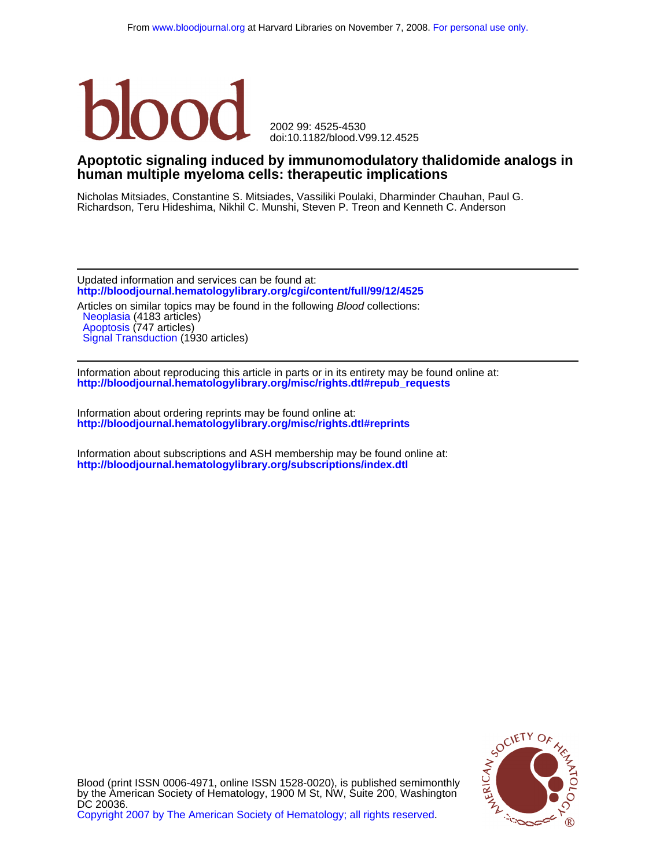

doi:10.1182/blood.V99.12.4525 2002 99: 4525-4530

## **human multiple myeloma cells: therapeutic implications Apoptotic signaling induced by immunomodulatory thalidomide analogs in**

Richardson, Teru Hideshima, Nikhil C. Munshi, Steven P. Treon and Kenneth C. Anderson Nicholas Mitsiades, Constantine S. Mitsiades, Vassiliki Poulaki, Dharminder Chauhan, Paul G.

**<http://bloodjournal.hematologylibrary.org/cgi/content/full/99/12/4525>** Updated information and services can be found at: Articles on similar topics may be found in the following Blood collections:

[Signal Transduction](http://bloodjournal.hematologylibrary.org/cgi/collection/signal_transduction) (1930 articles) [Apoptosis](http://bloodjournal.hematologylibrary.org/cgi/collection/apoptosis) (747 articles) [Neoplasia](http://bloodjournal.hematologylibrary.org/cgi/collection/neoplasia) (4183 articles)

**[http://bloodjournal.hematologylibrary.org/misc/rights.dtl#repub\\_requests](http://bloodjournal.hematologylibrary.org/misc/rights.dtl#repub_requests)** Information about reproducing this article in parts or in its entirety may be found online at:

**<http://bloodjournal.hematologylibrary.org/misc/rights.dtl#reprints>** Information about ordering reprints may be found online at:

**<http://bloodjournal.hematologylibrary.org/subscriptions/index.dtl>** Information about subscriptions and ASH membership may be found online at:

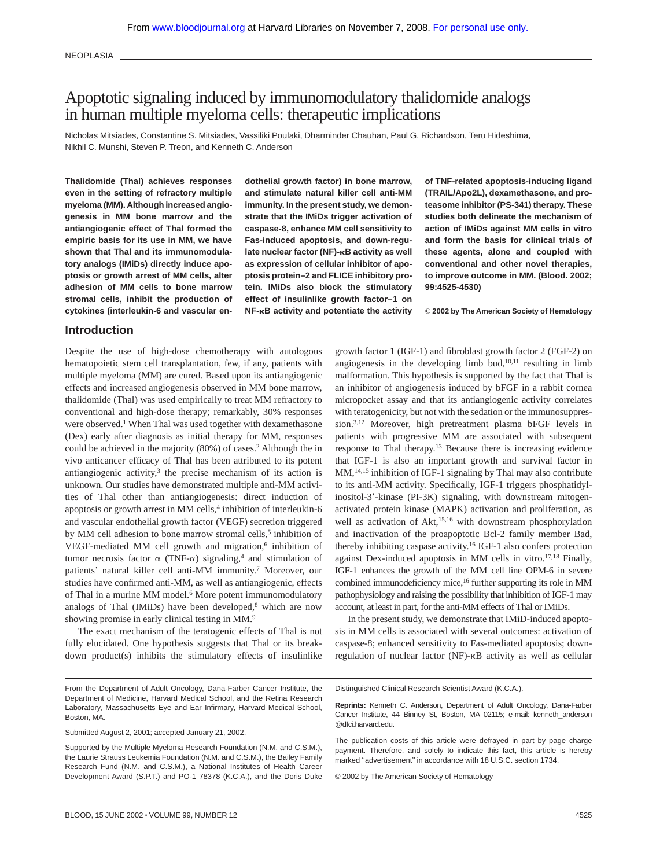**NEOPLASIA** 

# Apoptotic signaling induced by immunomodulatory thalidomide analogs in human multiple myeloma cells: therapeutic implications

Nicholas Mitsiades, Constantine S. Mitsiades, Vassiliki Poulaki, Dharminder Chauhan, Paul G. Richardson, Teru Hideshima, Nikhil C. Munshi, Steven P. Treon, and Kenneth C. Anderson

**Thalidomide (Thal) achieves responses even in the setting of refractory multiple myeloma (MM). Although increased angiogenesis in MM bone marrow and the antiangiogenic effect of Thal formed the empiric basis for its use in MM, we have shown that Thal and its immunomodulatory analogs (IMiDs) directly induce apoptosis or growth arrest of MM cells, alter adhesion of MM cells to bone marrow stromal cells, inhibit the production of cytokines (interleukin-6 and vascular en-** **dothelial growth factor) in bone marrow, and stimulate natural killer cell anti-MM immunity. In the present study, we demonstrate that the IMiDs trigger activation of caspase-8, enhance MM cell sensitivity to Fas-induced apoptosis, and down-regu**late nuclear factor (NF)-**<b>B** activity as well **as expression of cellular inhibitor of apoptosis protein–2 and FLICE inhibitory protein. IMiDs also block the stimulatory effect of insulinlike growth factor–1 on NF-B activity and potentiate the activity** **of TNF-related apoptosis-inducing ligand (TRAIL/Apo2L), dexamethasone, and proteasome inhibitor (PS-341) therapy. These studies both delineate the mechanism of action of IMiDs against MM cells in vitro and form the basis for clinical trials of these agents, alone and coupled with conventional and other novel therapies, to improve outcome in MM. (Blood. 2002; 99:4525-4530)**

© **2002 by The American Society of Hematology**

## **Introduction**

Despite the use of high-dose chemotherapy with autologous hematopoietic stem cell transplantation, few, if any, patients with multiple myeloma (MM) are cured. Based upon its antiangiogenic effects and increased angiogenesis observed in MM bone marrow, thalidomide (Thal) was used empirically to treat MM refractory to conventional and high-dose therapy; remarkably, 30% responses were observed.<sup>1</sup> When Thal was used together with dexamethasone (Dex) early after diagnosis as initial therapy for MM, responses could be achieved in the majority (80%) of cases.2 Although the in vivo anticancer efficacy of Thal has been attributed to its potent antiangiogenic activity, $3$  the precise mechanism of its action is unknown. Our studies have demonstrated multiple anti-MM activities of Thal other than antiangiogenesis: direct induction of apoptosis or growth arrest in MM cells,<sup>4</sup> inhibition of interleukin-6 and vascular endothelial growth factor (VEGF) secretion triggered by MM cell adhesion to bone marrow stromal cells,<sup>5</sup> inhibition of VEGF-mediated MM cell growth and migration, $6$  inhibition of tumor necrosis factor  $\alpha$  (TNF- $\alpha$ ) signaling,<sup>4</sup> and stimulation of patients' natural killer cell anti-MM immunity.7 Moreover, our studies have confirmed anti-MM, as well as antiangiogenic, effects of Thal in a murine MM model.<sup>6</sup> More potent immunomodulatory analogs of Thal (IMiDs) have been developed,<sup>8</sup> which are now showing promise in early clinical testing in MM.<sup>9</sup>

The exact mechanism of the teratogenic effects of Thal is not fully elucidated. One hypothesis suggests that Thal or its breakdown product(s) inhibits the stimulatory effects of insulinlike

growth factor 1 (IGF-1) and fibroblast growth factor 2 (FGF-2) on angiogenesis in the developing limb bud, $10,11$  resulting in limb malformation. This hypothesis is supported by the fact that Thal is an inhibitor of angiogenesis induced by bFGF in a rabbit cornea micropocket assay and that its antiangiogenic activity correlates with teratogenicity, but not with the sedation or the immunosuppression.3,12 Moreover, high pretreatment plasma bFGF levels in patients with progressive MM are associated with subsequent response to Thal therapy.13 Because there is increasing evidence that IGF-1 is also an important growth and survival factor in MM,<sup>14,15</sup> inhibition of IGF-1 signaling by Thal may also contribute to its anti-MM activity. Specifically, IGF-1 triggers phosphatidylinositol-3'-kinase (PI-3K) signaling, with downstream mitogenactivated protein kinase (MAPK) activation and proliferation, as well as activation of Akt,<sup>15,16</sup> with downstream phosphorylation and inactivation of the proapoptotic Bcl-2 family member Bad, thereby inhibiting caspase activity.<sup>16</sup> IGF-1 also confers protection against Dex-induced apoptosis in MM cells in vitro.17,18 Finally, IGF-1 enhances the growth of the MM cell line OPM-6 in severe combined immunodeficiency mice,16 further supporting its role in MM pathophysiology and raising the possibility that inhibition of IGF-1 may account, at least in part, for the anti-MM effects of Thal or IMiDs.

In the present study, we demonstrate that IMiD-induced apoptosis in MM cells is associated with several outcomes: activation of caspase-8; enhanced sensitivity to Fas-mediated apoptosis; downregulation of nuclear factor (NF)- $\kappa$ B activity as well as cellular

Submitted August 2, 2001; accepted January 21, 2002.

Distinguished Clinical Research Scientist Award (K.C.A.).

**Reprints:** Kenneth C. Anderson, Department of Adult Oncology, Dana-Farber Cancer Institute, 44 Binney St, Boston, MA 02115; e-mail: kenneth\_anderson @dfci.harvard.edu.

The publication costs of this article were defrayed in part by page charge payment. Therefore, and solely to indicate this fact, this article is hereby marked "advertisement" in accordance with 18 U.S.C. section 1734.

© 2002 by The American Society of Hematology

From the Department of Adult Oncology, Dana-Farber Cancer Institute, the Department of Medicine, Harvard Medical School, and the Retina Research Laboratory, Massachusetts Eye and Ear Infirmary, Harvard Medical School, Boston, MA.

Supported by the Multiple Myeloma Research Foundation (N.M. and C.S.M.), the Laurie Strauss Leukemia Foundation (N.M. and C.S.M.), the Bailey Family Research Fund (N.M. and C.S.M.), a National Institutes of Health Career Development Award (S.P.T.) and PO-1 78378 (K.C.A.), and the Doris Duke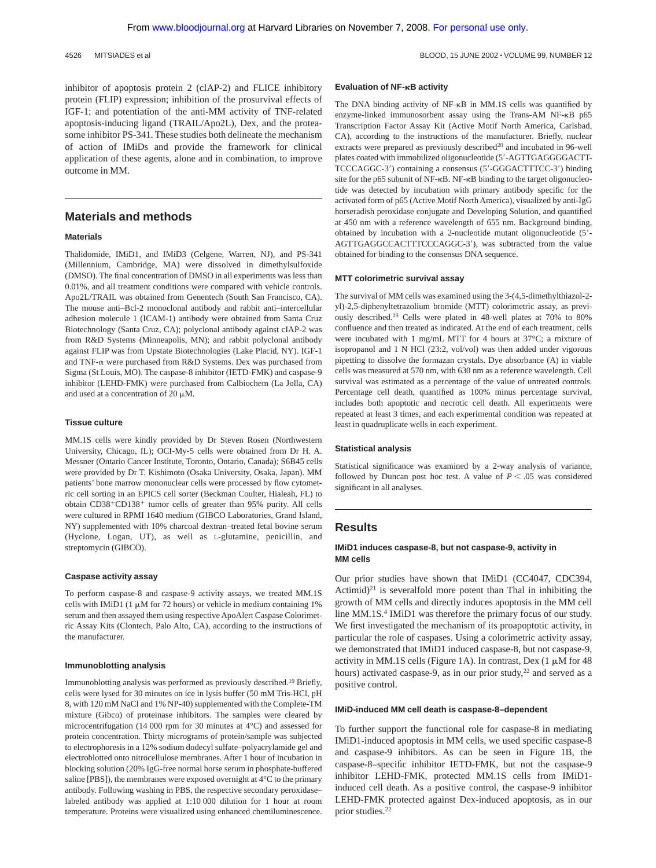4526 MITSIADES et al BLOOD, 15 JUNE 2002 VOLUME 99, NUMBER 12

inhibitor of apoptosis protein 2 (cIAP-2) and FLICE inhibitory protein (FLIP) expression; inhibition of the prosurvival effects of IGF-1; and potentiation of the anti-MM activity of TNF-related apoptosis-inducing ligand (TRAIL/Apo2L), Dex, and the proteasome inhibitor PS-341. These studies both delineate the mechanism of action of IMiDs and provide the framework for clinical application of these agents, alone and in combination, to improve outcome in MM.

## **Materials and methods**

## **Materials**

Thalidomide, IMiD1, and IMiD3 (Celgene, Warren, NJ), and PS-341 (Millennium, Cambridge, MA) were dissolved in dimethylsulfoxide (DMSO). The final concentration of DMSO in all experiments was less than 0.01%, and all treatment conditions were compared with vehicle controls. Apo2L/TRAIL was obtained from Genentech (South San Francisco, CA). The mouse anti–Bcl-2 monoclonal antibody and rabbit anti–intercellular adhesion molecule 1 (ICAM-1) antibody were obtained from Santa Cruz Biotechnology (Santa Cruz, CA); polyclonal antibody against cIAP-2 was from R&D Systems (Minneapolis, MN); and rabbit polyclonal antibody against FLIP was from Upstate Biotechnologies (Lake Placid, NY). IGF-1 and TNF- $\alpha$  were purchased from R&D Systems. Dex was purchased from Sigma (St Louis, MO). The caspase-8 inhibitor (IETD-FMK) and caspase-9 inhibitor (LEHD-FMK) were purchased from Calbiochem (La Jolla, CA) and used at a concentration of 20  $\mu$ M.

#### **Tissue culture**

MM.1S cells were kindly provided by Dr Steven Rosen (Northwestern University, Chicago, IL); OCI-My-5 cells were obtained from Dr H. A. Messner (Ontario Cancer Institute, Toronto, Ontario, Canada); S6B45 cells were provided by Dr T. Kishimoto (Osaka University, Osaka, Japan). MM patients' bone marrow mononuclear cells were processed by flow cytometric cell sorting in an EPICS cell sorter (Beckman Coulter, Hialeah, FL) to obtain  $CD38^+CD138^+$  tumor cells of greater than 95% purity. All cells were cultured in RPMI 1640 medium (GIBCO Laboratories, Grand Island, NY) supplemented with 10% charcoal dextran–treated fetal bovine serum (Hyclone, Logan, UT), as well as L-glutamine, penicillin, and streptomycin (GIBCO).

#### **Caspase activity assay**

To perform caspase-8 and caspase-9 activity assays, we treated MM.1S cells with IMiD1 (1  $\mu$ M for 72 hours) or vehicle in medium containing 1% serum and then assayed them using respective ApoAlert Caspase Colorimetric Assay Kits (Clontech, Palo Alto, CA), according to the instructions of the manufacturer.

#### **Immunoblotting analysis**

Immunoblotting analysis was performed as previously described.19 Briefly, cells were lysed for 30 minutes on ice in lysis buffer (50 mM Tris-HCl, pH 8, with 120 mM NaCl and 1% NP-40) supplemented with the Complete-TM mixture (Gibco) of proteinase inhibitors. The samples were cleared by microcentrifugation (14 000 rpm for 30 minutes at 4°C) and assessed for protein concentration. Thirty micrograms of protein/sample was subjected to electrophoresis in a 12% sodium dodecyl sulfate–polyacrylamide gel and electroblotted onto nitrocellulose membranes. After 1 hour of incubation in blocking solution (20% IgG-free normal horse serum in phosphate-buffered saline [PBS]), the membranes were exposed overnight at 4°C to the primary antibody. Following washing in PBS, the respective secondary peroxidase– labeled antibody was applied at 1:10 000 dilution for 1 hour at room temperature. Proteins were visualized using enhanced chemiluminescence.

## **Evaluation of NF-B activity**

The DNA binding activity of  $NF-\kappa B$  in MM.1S cells was quantified by enzyme-linked immunosorbent assay using the Trans-AM NF-KB p65 Transcription Factor Assay Kit (Active Motif North America, Carlsbad, CA), according to the instructions of the manufacturer. Briefly, nuclear extracts were prepared as previously described<sup>20</sup> and incubated in 96-well plates coated with immobilized oligonucleotide (5'-AGTTGAGGGGACTT-TCCCAGGC-3') containing a consensus (5'-GGGACTTTCC-3') binding site for the p65 subunit of  $NF-\kappa B$ . NF- $\kappa B$  binding to the target oligonucleotide was detected by incubation with primary antibody specific for the activated form of p65 (Active Motif North America), visualized by anti-IgG horseradish peroxidase conjugate and Developing Solution, and quantified at 450 nm with a reference wavelength of 655 nm. Background binding, obtained by incubation with a 2-nucleotide mutant oligonucleotide (5'-AGTTGAGGCCACTTTCCCAGGC-3'), was subtracted from the value obtained for binding to the consensus DNA sequence.

#### **MTT colorimetric survival assay**

The survival of MM cells was examined using the 3-(4,5-dimethylthiazol-2 yl)-2,5-diphenyltetrazolium bromide (MTT) colorimetric assay, as previously described.19 Cells were plated in 48-well plates at 70% to 80% confluence and then treated as indicated. At the end of each treatment, cells were incubated with 1 mg/mL MTT for 4 hours at 37°C; a mixture of isopropanol and 1 N HCl (23:2, vol/vol) was then added under vigorous pipetting to dissolve the formazan crystals. Dye absorbance (A) in viable cells was measured at 570 nm, with 630 nm as a reference wavelength. Cell survival was estimated as a percentage of the value of untreated controls. Percentage cell death, quantified as 100% minus percentage survival, includes both apoptotic and necrotic cell death. All experiments were repeated at least 3 times, and each experimental condition was repeated at least in quadruplicate wells in each experiment.

#### **Statistical analysis**

Statistical significance was examined by a 2-way analysis of variance, followed by Duncan post hoc test. A value of  $P < .05$  was considered significant in all analyses.

## **Results**

## **IMiD1 induces caspase-8, but not caspase-9, activity in MM cells**

Our prior studies have shown that IMiD1 (CC4047, CDC394, Actimid)<sup>21</sup> is severalfold more potent than Thal in inhibiting the growth of MM cells and directly induces apoptosis in the MM cell line MM.1S.<sup>4</sup> IMiD1 was therefore the primary focus of our study. We first investigated the mechanism of its proapoptotic activity, in particular the role of caspases. Using a colorimetric activity assay, we demonstrated that IMiD1 induced caspase-8, but not caspase-9, activity in MM.1S cells (Figure 1A). In contrast, Dex  $(1 \mu M$  for 48 hours) activated caspase-9, as in our prior study,<sup>22</sup> and served as a positive control.

#### **IMiD-induced MM cell death is caspase-8–dependent**

To further support the functional role for caspase-8 in mediating IMiD1-induced apoptosis in MM cells, we used specific caspase-8 and caspase-9 inhibitors. As can be seen in Figure 1B, the caspase-8–specific inhibitor IETD-FMK, but not the caspase-9 inhibitor LEHD-FMK, protected MM.1S cells from IMiD1 induced cell death. As a positive control, the caspase-9 inhibitor LEHD-FMK protected against Dex-induced apoptosis, as in our prior studies.22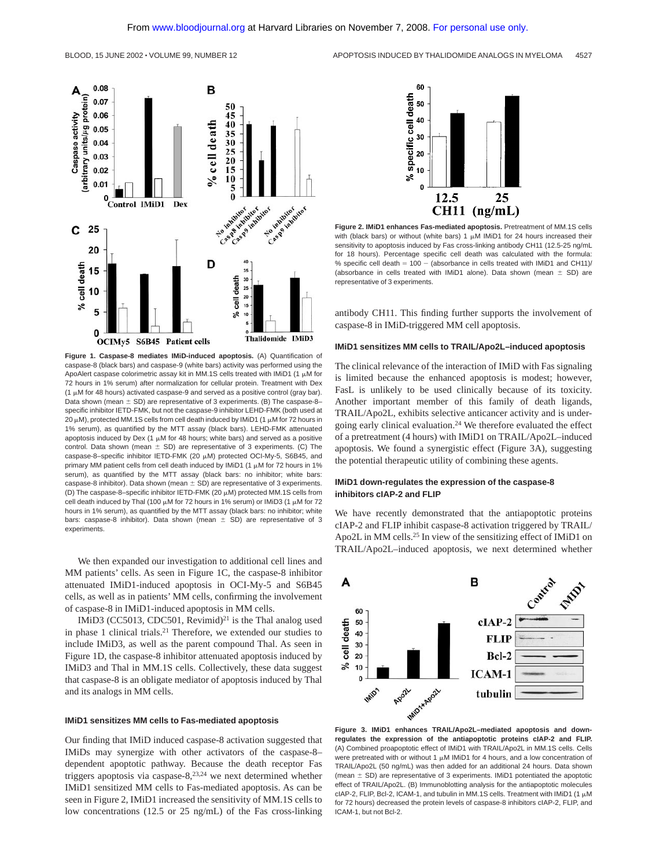

**Figure 1. Caspase-8 mediates IMiD-induced apoptosis.** (A) Quantification of caspase-8 (black bars) and caspase-9 (white bars) activity was performed using the ApoAlert caspase colorimetric assay kit in MM.1S cells treated with IMiD1 (1  $\mu$ M for 72 hours in 1% serum) after normalization for cellular protein. Treatment with Dex (1  $\mu$ M for 48 hours) activated caspase-9 and served as a positive control (gray bar). Data shown (mean  $\pm$  SD) are representative of 3 experiments. (B) The caspase-8– specific inhibitor IETD-FMK, but not the caspase-9 inhibitor LEHD-FMK (both used at  $20 \mu$ M), protected MM.1S cells from cell death induced by IMiD1 (1  $\mu$ M for 72 hours in 1% serum), as quantified by the MTT assay (black bars). LEHD-FMK attenuated apoptosis induced by Dex (1  $\mu$ M for 48 hours; white bars) and served as a positive control. Data shown (mean  $\pm$  SD) are representative of 3 experiments. (C) The caspase-8-specific inhibitor IETD-FMK (20  $\mu$ M) protected OCI-My-5, S6B45, and primary MM patient cells from cell death induced by IMiD1 (1  $\mu$ M for 72 hours in 1% serum), as quantified by the MTT assay (black bars: no inhibitor; white bars: caspase-8 inhibitor). Data shown (mean  $\pm$  SD) are representative of 3 experiments. (D) The caspase-8–specific inhibitor IETD-FMK (20  $\mu$ M) protected MM.1S cells from cell death induced by Thal (100  $\mu$ M for 72 hours in 1% serum) or IMiD3 (1  $\mu$ M for 72 hours in 1% serum), as quantified by the MTT assay (black bars: no inhibitor; white bars: caspase-8 inhibitor). Data shown (mean  $\pm$  SD) are representative of 3 experiments.

We then expanded our investigation to additional cell lines and MM patients' cells. As seen in Figure 1C, the caspase-8 inhibitor attenuated IMiD1-induced apoptosis in OCI-My-5 and S6B45 cells, as well as in patients' MM cells, confirming the involvement of caspase-8 in IMiD1-induced apoptosis in MM cells.

IMiD3 (CC5013, CDC501, Revimid)<sup>21</sup> is the Thal analog used in phase 1 clinical trials.21 Therefore, we extended our studies to include IMiD3, as well as the parent compound Thal. As seen in Figure 1D, the caspase-8 inhibitor attenuated apoptosis induced by IMiD3 and Thal in MM.1S cells. Collectively, these data suggest that caspase-8 is an obligate mediator of apoptosis induced by Thal and its analogs in MM cells.

### **IMiD1 sensitizes MM cells to Fas-mediated apoptosis**

Our finding that IMiD induced caspase-8 activation suggested that IMiDs may synergize with other activators of the caspase-8– dependent apoptotic pathway. Because the death receptor Fas triggers apoptosis via caspase-8, $2^{3,24}$  we next determined whether IMiD1 sensitized MM cells to Fas-mediated apoptosis. As can be seen in Figure 2, IMiD1 increased the sensitivity of MM.1S cells to low concentrations (12.5 or 25 ng/mL) of the Fas cross-linking





**Figure 2. IMiD1 enhances Fas-mediated apoptosis.** Pretreatment of MM.1S cells with (black bars) or without (white bars) 1  $\mu$ M IMiD1 for 24 hours increased their sensitivity to apoptosis induced by Fas cross-linking antibody CH11 (12.5-25 ng/mL for 18 hours). Percentage specific cell death was calculated with the formula: % specific cell death  $= 100 - (absorbance in cells treated with IMiD1 and CH11)/$ (absorbance in cells treated with IMiD1 alone). Data shown (mean  $\pm$  SD) are representative of 3 experiments.

antibody CH11. This finding further supports the involvement of caspase-8 in IMiD-triggered MM cell apoptosis.

#### **IMiD1 sensitizes MM cells to TRAIL/Apo2L–induced apoptosis**

The clinical relevance of the interaction of IMiD with Fas signaling is limited because the enhanced apoptosis is modest; however, FasL is unlikely to be used clinically because of its toxicity. Another important member of this family of death ligands, TRAIL/Apo2L, exhibits selective anticancer activity and is undergoing early clinical evaluation.24 We therefore evaluated the effect of a pretreatment (4 hours) with IMiD1 on TRAIL/Apo2L–induced apoptosis. We found a synergistic effect (Figure 3A), suggesting the potential therapeutic utility of combining these agents.

## **IMiD1 down-regulates the expression of the caspase-8 inhibitors cIAP-2 and FLIP**

We have recently demonstrated that the antiapoptotic proteins cIAP-2 and FLIP inhibit caspase-8 activation triggered by TRAIL/ Apo2L in MM cells.<sup>25</sup> In view of the sensitizing effect of IMiD1 on TRAIL/Apo2L–induced apoptosis, we next determined whether



**Figure 3. IMiD1 enhances TRAIL/Apo2L–mediated apoptosis and downregulates the expression of the antiapoptotic proteins cIAP-2 and FLIP.** (A) Combined proapoptotic effect of IMiD1 with TRAIL/Apo2L in MM.1S cells. Cells were pretreated with or without 1  $\mu$ M IMiD1 for 4 hours, and a low concentration of TRAIL/Apo2L (50 ng/mL) was then added for an additional 24 hours. Data shown (mean  $\pm$  SD) are representative of 3 experiments. IMiD1 potentiated the apoptotic effect of TRAIL/Apo2L. (B) Immunoblotting analysis for the antiapoptotic molecules  $c$ IAP-2, FLIP, Bcl-2, ICAM-1, and tubulin in MM.1S cells. Treatment with IMiD1 (1  $<sub>u</sub>M$ )</sub> for 72 hours) decreased the protein levels of caspase-8 inhibitors cIAP-2, FLIP, and ICAM-1, but not Bcl-2.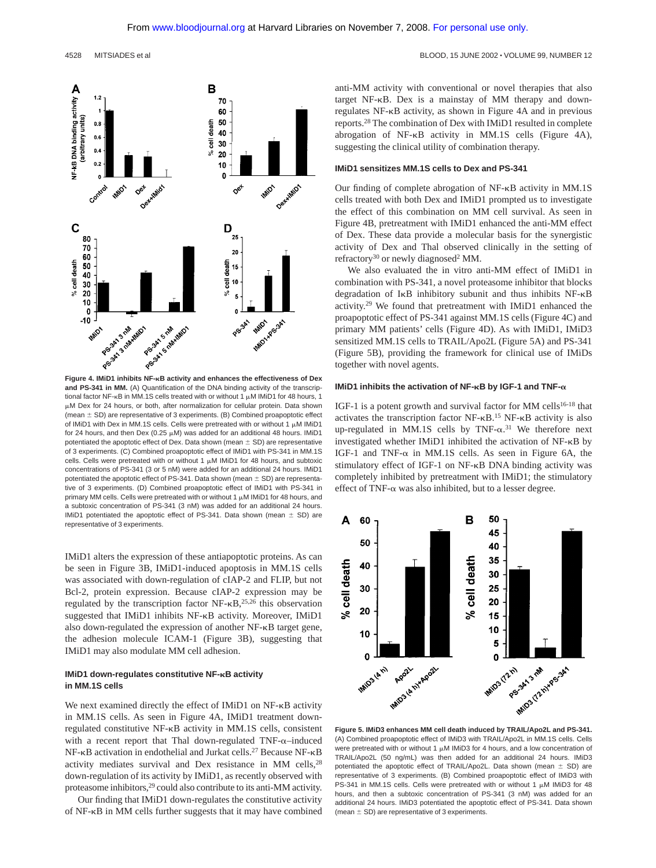

**and PS-341 in MM.** (A) Quantification of the DNA binding activity of the transcriptional factor NF- $\kappa$ B in MM.1S cells treated with or without 1  $\mu$ M IMiD1 for 48 hours, 1 M Dex for 24 hours, or both, after normalization for cellular protein. Data shown (mean  $\pm$  SD) are representative of 3 experiments. (B) Combined proapoptotic effect of IMiD1 with Dex in MM.1S cells. Cells were pretreated with or without 1  $\mu$ M IMiD1 for 24 hours, and then Dex (0.25  $\mu$ M) was added for an additional 48 hours. IMiD1 potentiated the apoptotic effect of Dex. Data shown (mean  $\pm$  SD) are representative of 3 experiments. (C) Combined proapoptotic effect of IMiD1 with PS-341 in MM.1S cells. Cells were pretreated with or without 1  $\mu$ M IMiD1 for 48 hours, and subtoxic concentrations of PS-341 (3 or 5 nM) were added for an additional 24 hours. IMiD1 potentiated the apoptotic effect of PS-341. Data shown (mean  $\pm$  SD) are representative of 3 experiments. (D) Combined proapoptotic effect of IMiD1 with PS-341 in primary MM cells. Cells were pretreated with or without 1  $\mu$ M IMiD1 for 48 hours, and a subtoxic concentration of PS-341 (3 nM) was added for an additional 24 hours. IMiD1 potentiated the apoptotic effect of PS-341. Data shown (mean  $\pm$  SD) are representative of 3 experiments.

IMiD1 alters the expression of these antiapoptotic proteins. As can be seen in Figure 3B, IMiD1-induced apoptosis in MM.1S cells was associated with down-regulation of cIAP-2 and FLIP, but not Bcl-2, protein expression. Because cIAP-2 expression may be regulated by the transcription factor  $NF-\kappa B$ ,<sup>25,26</sup> this observation suggested that IMiD1 inhibits NF-KB activity. Moreover, IMiD1 also down-regulated the expression of another NF- $\kappa$ B target gene, the adhesion molecule ICAM-1 (Figure 3B), suggesting that IMiD1 may also modulate MM cell adhesion.

## **IMiD1 down-regulates constitutive NF-** $\kappa$ **B activity in MM.1S cells**

We next examined directly the effect of IMiD1 on  $NF-\kappa B$  activity in MM.1S cells. As seen in Figure 4A, IMiD1 treatment downregulated constitutive NF- $\kappa$ B activity in MM.1S cells, consistent with a recent report that Thal down-regulated TNF- $\alpha$ -induced NF-KB activation in endothelial and Jurkat cells.<sup>27</sup> Because NF-KB activity mediates survival and Dex resistance in MM cells,28 down-regulation of its activity by IMiD1, as recently observed with proteasome inhibitors,<sup>29</sup> could also contribute to its anti-MM activity.

Our finding that IMiD1 down-regulates the constitutive activity of NF- $\kappa$ B in MM cells further suggests that it may have combined anti-MM activity with conventional or novel therapies that also target NF-KB. Dex is a mainstay of MM therapy and downregulates NF- $\kappa$ B activity, as shown in Figure 4A and in previous reports.28 The combination of Dex with IMiD1 resulted in complete abrogation of  $NF-\kappa B$  activity in MM.1S cells (Figure 4A), suggesting the clinical utility of combination therapy.

#### **IMiD1 sensitizes MM.1S cells to Dex and PS-341**

Our finding of complete abrogation of  $NF-\kappa B$  activity in MM.1S cells treated with both Dex and IMiD1 prompted us to investigate the effect of this combination on MM cell survival. As seen in Figure 4B, pretreatment with IMiD1 enhanced the anti-MM effect of Dex. These data provide a molecular basis for the synergistic activity of Dex and Thal observed clinically in the setting of refractory<sup>30</sup> or newly diagnosed<sup>2</sup> MM.

We also evaluated the in vitro anti-MM effect of IMiD1 in combination with PS-341, a novel proteasome inhibitor that blocks degradation of  $I \kappa B$  inhibitory subunit and thus inhibits  $N_{\text{F-KB}}$ activity.29 We found that pretreatment with IMiD1 enhanced the proapoptotic effect of PS-341 against MM.1S cells (Figure 4C) and primary MM patients' cells (Figure 4D). As with IMiD1, IMiD3 sensitized MM.1S cells to TRAIL/Apo2L (Figure 5A) and PS-341 (Figure 5B), providing the framework for clinical use of IMiDs together with novel agents.

#### **IMiD1** inhibits the activation of NF- $\kappa$ B by IGF-1 and TNF- $\alpha$

IGF-1 is a potent growth and survival factor for MM cells<sup>16-18</sup> that activates the transcription factor  $NF-\kappa B$ .<sup>15</sup> NF- $\kappa B$  activity is also up-regulated in MM.1S cells by  $TNF-\alpha$ .<sup>31</sup> We therefore next investigated whether IMiD1 inhibited the activation of NF-KB by IGF-1 and TNF- $\alpha$  in MM.1S cells. As seen in Figure 6A, the stimulatory effect of IGF-1 on NF- $\kappa$ B DNA binding activity was completely inhibited by pretreatment with IMiD1; the stimulatory effect of TNF- $\alpha$  was also inhibited, but to a lesser degree.



**Figure 5. IMiD3 enhances MM cell death induced by TRAIL/Apo2L and PS-341.** (A) Combined proapoptotic effect of IMiD3 with TRAIL/Apo2L in MM.1S cells. Cells were pretreated with or without 1  $\mu$ M IMiD3 for 4 hours, and a low concentration of TRAIL/Apo2L (50 ng/mL) was then added for an additional 24 hours. IMiD3 potentiated the apoptotic effect of TRAIL/Apo2L. Data shown (mean  $\pm$  SD) are representative of 3 experiments. (B) Combined proapoptotic effect of IMiD3 with PS-341 in MM.1S cells. Cells were pretreated with or without 1  $\mu$ M IMiD3 for 48 hours, and then a subtoxic concentration of PS-341 (3 nM) was added for an additional 24 hours. IMiD3 potentiated the apoptotic effect of PS-341. Data shown (mean  $\pm$  SD) are representative of 3 experiments.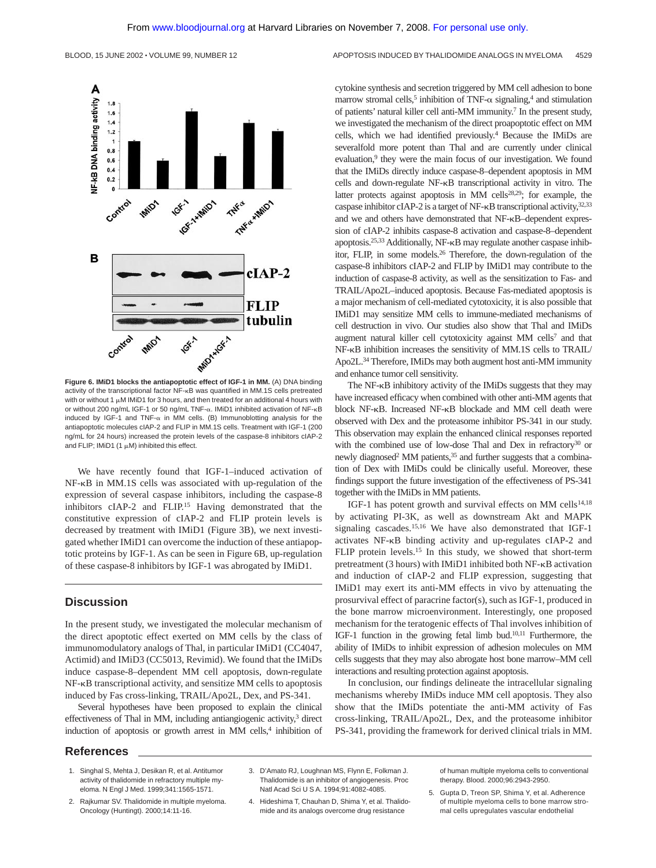

**Figure 6. IMiD1 blocks the antiapoptotic effect of IGF-1 in MM.** (A) DNA binding activity of the transcriptional factor NF-KB was quantified in MM.1S cells pretreated with or without 1  $\mu$ M IMiD1 for 3 hours, and then treated for an additional 4 hours with or without 200 ng/mL IGF-1 or 50 ng/mL TNF- $\alpha$ . IMiD1 inhibited activation of NF- $\kappa$ B induced by IGF-1 and TNF- $\alpha$  in MM cells. (B) Immunoblotting analysis for the antiapoptotic molecules cIAP-2 and FLIP in MM.1S cells. Treatment with IGF-1 (200 ng/mL for 24 hours) increased the protein levels of the caspase-8 inhibitors cIAP-2 and FLIP; IMiD1  $(1 \mu M)$  inhibited this effect.

We have recently found that IGF-1–induced activation of  $NF-\kappa B$  in MM.1S cells was associated with up-regulation of the expression of several caspase inhibitors, including the caspase-8 inhibitors cIAP-2 and FLIP.15 Having demonstrated that the constitutive expression of cIAP-2 and FLIP protein levels is decreased by treatment with IMiD1 (Figure 3B), we next investigated whether IMiD1 can overcome the induction of these antiapoptotic proteins by IGF-1. As can be seen in Figure 6B, up-regulation of these caspase-8 inhibitors by IGF-1 was abrogated by IMiD1.

## **Discussion**

In the present study, we investigated the molecular mechanism of the direct apoptotic effect exerted on MM cells by the class of immunomodulatory analogs of Thal, in particular IMiD1 (CC4047, Actimid) and IMiD3 (CC5013, Revimid). We found that the IMiDs induce caspase-8–dependent MM cell apoptosis, down-regulate  $NF-\kappa B$  transcriptional activity, and sensitize MM cells to apoptosis induced by Fas cross-linking, TRAIL/Apo2L, Dex, and PS-341.

Several hypotheses have been proposed to explain the clinical effectiveness of Thal in MM, including antiangiogenic activity, $3$  direct induction of apoptosis or growth arrest in MM cells,<sup>4</sup> inhibition of cytokine synthesis and secretion triggered by MM cell adhesion to bone marrow stromal cells,<sup>5</sup> inhibition of TNF- $\alpha$  signaling,<sup>4</sup> and stimulation of patients' natural killer cell anti-MM immunity.7 In the present study, we investigated the mechanism of the direct proapoptotic effect on MM cells, which we had identified previously.4 Because the IMiDs are severalfold more potent than Thal and are currently under clinical evaluation,<sup>9</sup> they were the main focus of our investigation. We found that the IMiDs directly induce caspase-8–dependent apoptosis in MM cells and down-regulate NF-KB transcriptional activity in vitro. The latter protects against apoptosis in MM cells<sup>28,29</sup>; for example, the caspase inhibitor cIAP-2 is a target of NF- $\kappa$ B transcriptional activity,  $32,33$ and we and others have demonstrated that NF-KB–dependent expression of cIAP-2 inhibits caspase-8 activation and caspase-8–dependent apoptosis.<sup>25,33</sup> Additionally, NF- $\kappa$ B may regulate another caspase inhibitor, FLIP, in some models.26 Therefore, the down-regulation of the caspase-8 inhibitors cIAP-2 and FLIP by IMiD1 may contribute to the induction of caspase-8 activity, as well as the sensitization to Fas- and TRAIL/Apo2L–induced apoptosis. Because Fas-mediated apoptosis is a major mechanism of cell-mediated cytotoxicity, it is also possible that IMiD1 may sensitize MM cells to immune-mediated mechanisms of cell destruction in vivo. Our studies also show that Thal and IMiDs augment natural killer cell cytotoxicity against MM cells<sup>7</sup> and that NF-KB inhibition increases the sensitivity of MM.1S cells to TRAIL/ Apo2L.34 Therefore, IMiDs may both augment host anti-MM immunity and enhance tumor cell sensitivity.

The NF-KB inhibitory activity of the IMiDs suggests that they may have increased efficacy when combined with other anti-MM agents that block NF-KB. Increased NF-KB blockade and MM cell death were observed with Dex and the proteasome inhibitor PS-341 in our study. This observation may explain the enhanced clinical responses reported with the combined use of low-dose Thal and Dex in refractory<sup>30</sup> or newly diagnosed<sup>2</sup> MM patients,<sup>35</sup> and further suggests that a combination of Dex with IMiDs could be clinically useful. Moreover, these findings support the future investigation of the effectiveness of PS-341 together with the IMiDs in MM patients.

IGF-1 has potent growth and survival effects on MM cells<sup>14,18</sup> by activating PI-3K, as well as downstream Akt and MAPK signaling cascades.<sup>15,16</sup> We have also demonstrated that IGF-1 activates NF-KB binding activity and up-regulates cIAP-2 and FLIP protein levels.<sup>15</sup> In this study, we showed that short-term pretreatment (3 hours) with IMiD1 inhibited both NF- $\kappa$ B activation and induction of cIAP-2 and FLIP expression, suggesting that IMiD1 may exert its anti-MM effects in vivo by attenuating the prosurvival effect of paracrine factor(s), such as IGF-1, produced in the bone marrow microenvironment. Interestingly, one proposed mechanism for the teratogenic effects of Thal involves inhibition of IGF-1 function in the growing fetal limb bud.10,11 Furthermore, the ability of IMiDs to inhibit expression of adhesion molecules on MM cells suggests that they may also abrogate host bone marrow–MM cell interactions and resulting protection against apoptosis.

In conclusion, our findings delineate the intracellular signaling mechanisms whereby IMiDs induce MM cell apoptosis. They also show that the IMiDs potentiate the anti-MM activity of Fas cross-linking, TRAIL/Apo2L, Dex, and the proteasome inhibitor PS-341, providing the framework for derived clinical trials in MM.

## **References**

- 1. Singhal S, Mehta J, Desikan R, et al. Antitumor activity of thalidomide in refractory multiple myeloma. N Engl J Med. 1999;341:1565-1571.
- 2. Rajkumar SV. Thalidomide in multiple myeloma. Oncology (Huntingt). 2000;14:11-16.
- 3. D'Amato RJ, Loughnan MS, Flynn E, Folkman J. Thalidomide is an inhibitor of angiogenesis. Proc Natl Acad Sci U S A. 1994;91:4082-4085.
- 4. Hideshima T, Chauhan D, Shima Y, et al. Thalidomide and its analogs overcome drug resistance

of human multiple myeloma cells to conventional therapy. Blood. 2000;96:2943-2950.

5. Gupta D, Treon SP, Shima Y, et al. Adherence of multiple myeloma cells to bone marrow stromal cells upregulates vascular endothelial

BLOOD, 15 JUNE 2002 · VOLUME 99, NUMBER 12 APOPTOSIS INDUCED BY THALIDOMIDE ANALOGS IN MYELOMA 4529